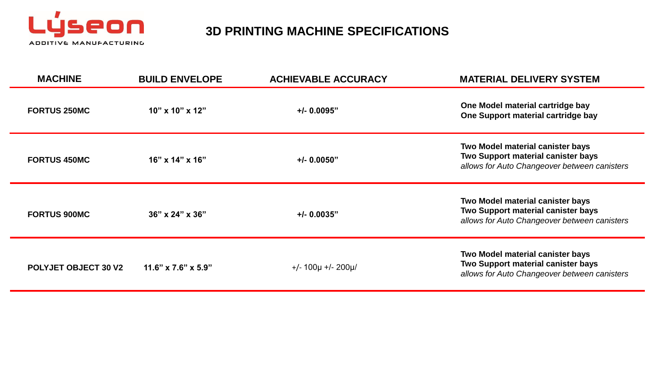

# **3D PRINTING MACHINE SPECIFICATIONS**

| <b>MACHINE</b>              | <b>BUILD ENVELOPE</b>           | <b>ACHIEVABLE ACCURACY</b> | <b>MATERIAL DELIVERY SYSTEM</b>                                                                                        |
|-----------------------------|---------------------------------|----------------------------|------------------------------------------------------------------------------------------------------------------------|
| <b>FORTUS 250MC</b>         | 10" x 10" x 12"                 | $+/- 0.0095"$              | One Model material cartridge bay<br>One Support material cartridge bay                                                 |
| <b>FORTUS 450MC</b>         | $16"$ x $14"$ x $16"$           | $+/- 0.0050"$              | Two Model material canister bays<br>Two Support material canister bays<br>allows for Auto Changeover between canisters |
| <b>FORTUS 900MC</b>         | $36" \times 24" \times 36"$     | $+/- 0.0035"$              | Two Model material canister bays<br>Two Support material canister bays<br>allows for Auto Changeover between canisters |
| <b>POLYJET OBJECT 30 V2</b> | $11.6" \times 7.6" \times 5.9"$ | $+/- 100\mu +/- 200\mu/$   | Two Model material canister bays<br>Two Support material canister bays<br>allows for Auto Changeover between canisters |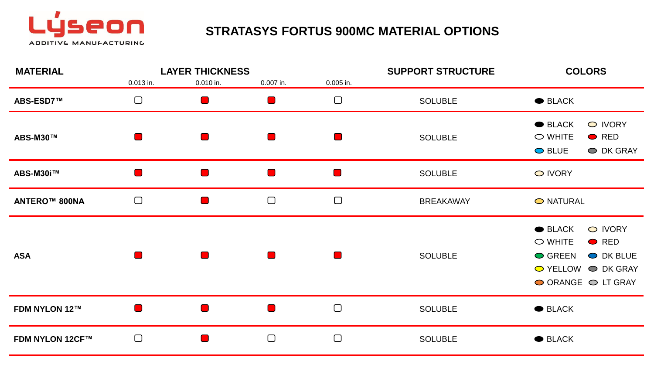

# **STRATASYS FORTUS 900MC MATERIAL OPTIONS**

| <b>MATERIAL</b>        |                           | <b>LAYER THICKNESS</b> |                |                | <b>SUPPORT STRUCTURE</b> | <b>COLORS</b>                                                                                                                    |
|------------------------|---------------------------|------------------------|----------------|----------------|--------------------------|----------------------------------------------------------------------------------------------------------------------------------|
|                        | 0.013 in.                 | 0.010 in.              | 0.007 in.      | 0.005 in.      |                          |                                                                                                                                  |
| ABS-ESD7™              | $\Box$                    |                        | $\blacksquare$ | $\Box$         | <b>SOLUBLE</b>           | $\bullet$ BLACK                                                                                                                  |
| <b>ABS-M30™</b>        |                           |                        | $\blacksquare$ | $\blacksquare$ | <b>SOLUBLE</b>           | O IVORY<br>$\bullet$ BLACK<br>$\bigcirc$ WHITE<br>$\bullet$ RED<br><b>●</b> BLUE<br>O DK GRAY                                    |
| ABS-M30i™              |                           |                        | $\blacksquare$ | $\blacksquare$ | <b>SOLUBLE</b>           | O IVORY                                                                                                                          |
| <b>ANTERO™ 800NA</b>   | $\Box$                    |                        | $\Box$         | $\Box$         | <b>BREAKAWAY</b>         | O NATURAL                                                                                                                        |
| <b>ASA</b>             |                           |                        | $\blacksquare$ | H              | <b>SOLUBLE</b>           | $\bullet$ BLACK<br>O IVORY<br>$\circ$ WHITE<br>$\bullet$ RED<br>● GREEN<br>O DK BLUE<br>◯ YELLOW ◯ DK GRAY<br>◯ ORANGE ◯ LT GRAY |
| <b>FDM NYLON 12™</b>   | <b>The Contract State</b> |                        | $\blacksquare$ | $\Box$         | <b>SOLUBLE</b>           | <b>BLACK</b>                                                                                                                     |
| <b>FDM NYLON 12CF™</b> | $\Box$                    |                        | $\Box$         | $\Box$         | <b>SOLUBLE</b>           | $\bullet$ BLACK                                                                                                                  |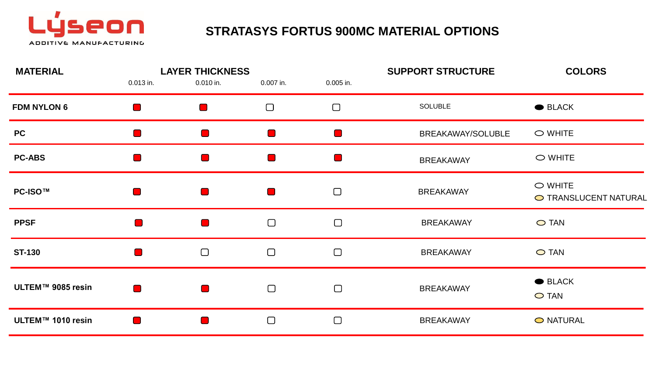

# **STRATASYS FORTUS 900MC MATERIAL OPTIONS**

| <b>MATERIAL</b>    |             | <b>LAYER THICKNESS</b> |                |           | <b>SUPPORT STRUCTURE</b> | <b>COLORS</b>                             |
|--------------------|-------------|------------------------|----------------|-----------|--------------------------|-------------------------------------------|
|                    | $0.013$ in. | 0.010 in.              | 0.007 in.      | 0.005 in. |                          |                                           |
| <b>FDM NYLON 6</b> |             | $\blacksquare$         | $\Box$         | $\Box$    | SOLUBLE                  | $\bullet$ BLACK                           |
| <b>PC</b>          |             |                        |                |           | BREAKAWAY/SOLUBLE        | $\circ$ WHITE                             |
| <b>PC-ABS</b>      |             | $\blacksquare$         |                |           | <b>BREAKAWAY</b>         | $\bigcirc$ WHITE                          |
| <b>PC-ISO™</b>     | a j         | $\blacksquare$         | $\blacksquare$ | $\Box$    | <b>BREAKAWAY</b>         | $\bigcirc$ WHITE<br>O TRANSLUCENT NATURAL |
| <b>PPSF</b>        |             | $\blacksquare$         | $\Box$         | $\Box$    | <b>BREAKAWAY</b>         | ◯ TAN                                     |
| <b>ST-130</b>      | <b>COL</b>  | $\Box$                 | $\Box$         | $\Box$    | <b>BREAKAWAY</b>         | $\bigcirc$ TAN                            |
| ULTEM™ 9085 resin  |             | $\blacksquare$         | $\Box$         | $\Box$    | <b>BREAKAWAY</b>         | ● BLACK<br>$\bigcirc$ TAN                 |
| ULTEM™ 1010 resin  |             |                        | $\Box$         | $\Box$    | <b>BREAKAWAY</b>         | O NATURAL                                 |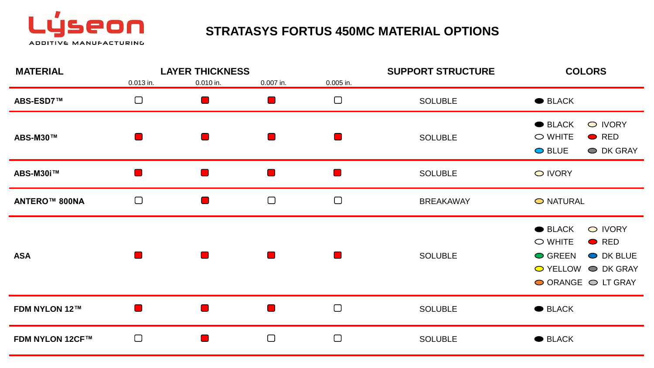

# **STRATASYS FORTUS 450MC MATERIAL OPTIONS**

| <b>MATERIAL</b>        |                           | <b>LAYER THICKNESS</b> |                              |                | <b>SUPPORT STRUCTURE</b> | <b>COLORS</b>                                                                                                                    |
|------------------------|---------------------------|------------------------|------------------------------|----------------|--------------------------|----------------------------------------------------------------------------------------------------------------------------------|
|                        | 0.013 in.                 | 0.010 in.              | 0.007 in.                    | 0.005 in.      |                          |                                                                                                                                  |
| ABS-ESD7™              | $\Box$                    | a j                    | $\blacksquare$               | $\Box$         | <b>SOLUBLE</b>           | $\bullet$ BLACK                                                                                                                  |
| ABS-M30™               |                           |                        | $\blacksquare$               | $\blacksquare$ | <b>SOLUBLE</b>           | O IVORY<br>$\bullet$ BLACK<br>$\bigcirc$ WHITE<br>$\bullet$ RED<br><b>●</b> BLUE<br>O DK GRAY                                    |
| ABS-M30i™              |                           |                        | $\blacksquare$               | $\blacksquare$ | <b>SOLUBLE</b>           | O IVORY                                                                                                                          |
| <b>ANTERO™ 800NA</b>   | $\Box$                    | $\blacksquare$         | $\Box$                       | $\Box$         | <b>BREAKAWAY</b>         | O NATURAL                                                                                                                        |
| <b>ASA</b>             |                           |                        | $\blacksquare$               | H              | <b>SOLUBLE</b>           | $\bullet$ BLACK<br>O IVORY<br>$\circ$ WHITE<br>$\bullet$ RED<br>● GREEN<br>O DK BLUE<br>◯ YELLOW ◯ DK GRAY<br>◯ ORANGE ◯ LT GRAY |
| <b>FDM NYLON 12™</b>   | <b>The Contract State</b> |                        | $\qquad \qquad \blacksquare$ | $\Box$         | <b>SOLUBLE</b>           | <b>BLACK</b>                                                                                                                     |
| <b>FDM NYLON 12CF™</b> | $\Box$                    |                        | $\Box$                       | $\Box$         | <b>SOLUBLE</b>           | $\bullet$ BLACK                                                                                                                  |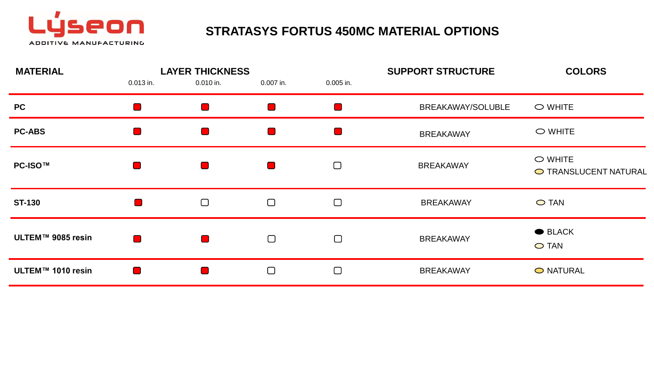

# **STRATASYS FORTUS 450MC MATERIAL OPTIONS**

|                |                |                |                        | <b>SUPPORT STRUCTURE</b> | <b>COLORS</b>                          |
|----------------|----------------|----------------|------------------------|--------------------------|----------------------------------------|
| $0.013$ in.    | 0.010 in.      | 0.007 in.      | 0.005 in.              |                          |                                        |
| ٠              | $\blacksquare$ |                |                        | BREAKAWAY/SOLUBLE        | $\circ$ WHITE                          |
| ×.             | $\blacksquare$ |                |                        | <b>BREAKAWAY</b>         | $\circ$ WHITE                          |
| $\blacksquare$ | $\blacksquare$ | $\blacksquare$ | $\Box$                 | <b>BREAKAWAY</b>         | $\circ$ WHITE<br>O TRANSLUCENT NATURAL |
| $\Box$         | $\Box$         | $\Box$         | $\Box$                 | <b>BREAKAWAY</b>         | $\bigcirc$ TAN                         |
| $\Box$         | $\blacksquare$ | $\Box$         | $\Box$                 | <b>BREAKAWAY</b>         | $\bullet$ BLACK<br>$\bigcirc$ TAN      |
|                |                | $\Box$         | $\Box$                 | <b>BREAKAWAY</b>         | O NATURAL                              |
|                |                |                | <b>LAYER THICKNESS</b> |                          |                                        |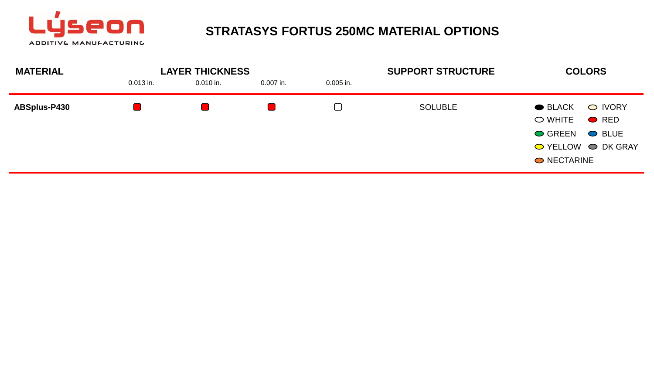

#### **STRATASYS FORTUS 250MC MATERIAL OPTIONS**

| <b>MATERIAL</b>     |             | <b>LAYER THICKNESS</b> |             |             | <b>SUPPORT STRUCTURE</b> | <b>COLORS</b>                                                                                                                         |  |
|---------------------|-------------|------------------------|-------------|-------------|--------------------------|---------------------------------------------------------------------------------------------------------------------------------------|--|
|                     | $0.013$ in. | $0.010$ in.            | $0.007$ in. | $0.005$ in. |                          |                                                                                                                                       |  |
| <b>ABSplus-P430</b> |             |                        |             | $\Box$      | <b>SOLUBLE</b>           | O IVORY<br>$\bullet$ BLACK<br>$\circ$ WHITE<br>$\bullet$ RED<br><b>● GREEN</b><br>$\bullet$ BLUE<br>◯ YELLOW ◯ DK GRAY<br>O NECTARINE |  |
|                     |             |                        |             |             |                          |                                                                                                                                       |  |